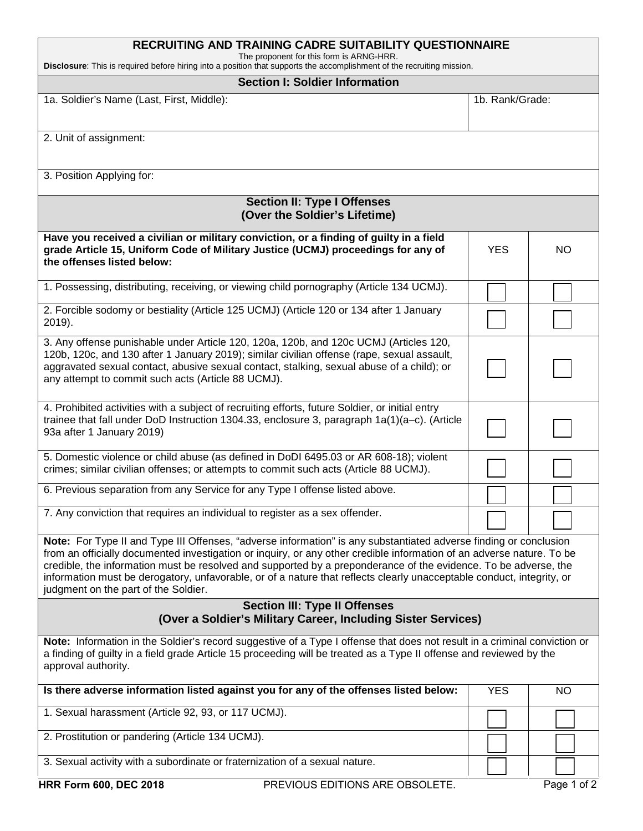| <b>RECRUITING AND TRAINING CADRE SUITABILITY QUESTIONNAIRE</b>                                                                                                                                                                                                                                                                                                                                                                                                                                                                 |                 |             |  |  |
|--------------------------------------------------------------------------------------------------------------------------------------------------------------------------------------------------------------------------------------------------------------------------------------------------------------------------------------------------------------------------------------------------------------------------------------------------------------------------------------------------------------------------------|-----------------|-------------|--|--|
| The proponent for this form is ARNG-HRR.<br>Disclosure: This is required before hiring into a position that supports the accomplishment of the recruiting mission.                                                                                                                                                                                                                                                                                                                                                             |                 |             |  |  |
| <b>Section I: Soldier Information</b>                                                                                                                                                                                                                                                                                                                                                                                                                                                                                          |                 |             |  |  |
| 1a. Soldier's Name (Last, First, Middle):                                                                                                                                                                                                                                                                                                                                                                                                                                                                                      | 1b. Rank/Grade: |             |  |  |
| 2. Unit of assignment:                                                                                                                                                                                                                                                                                                                                                                                                                                                                                                         |                 |             |  |  |
| 3. Position Applying for:                                                                                                                                                                                                                                                                                                                                                                                                                                                                                                      |                 |             |  |  |
| <b>Section II: Type I Offenses</b><br>(Over the Soldier's Lifetime)                                                                                                                                                                                                                                                                                                                                                                                                                                                            |                 |             |  |  |
| Have you received a civilian or military conviction, or a finding of guilty in a field<br>grade Article 15, Uniform Code of Military Justice (UCMJ) proceedings for any of<br>the offenses listed below:                                                                                                                                                                                                                                                                                                                       | <b>YES</b>      | <b>NO</b>   |  |  |
| 1. Possessing, distributing, receiving, or viewing child pornography (Article 134 UCMJ).                                                                                                                                                                                                                                                                                                                                                                                                                                       |                 |             |  |  |
| 2. Forcible sodomy or bestiality (Article 125 UCMJ) (Article 120 or 134 after 1 January<br>2019).                                                                                                                                                                                                                                                                                                                                                                                                                              |                 |             |  |  |
| 3. Any offense punishable under Article 120, 120a, 120b, and 120c UCMJ (Articles 120,<br>120b, 120c, and 130 after 1 January 2019); similar civilian offense (rape, sexual assault,<br>aggravated sexual contact, abusive sexual contact, stalking, sexual abuse of a child); or<br>any attempt to commit such acts (Article 88 UCMJ).                                                                                                                                                                                         |                 |             |  |  |
| 4. Prohibited activities with a subject of recruiting efforts, future Soldier, or initial entry<br>trainee that fall under DoD Instruction 1304.33, enclosure 3, paragraph $1a(1)(a-c)$ . (Article<br>93a after 1 January 2019)                                                                                                                                                                                                                                                                                                |                 |             |  |  |
| 5. Domestic violence or child abuse (as defined in DoDI 6495.03 or AR 608-18); violent<br>crimes; similar civilian offenses; or attempts to commit such acts (Article 88 UCMJ).                                                                                                                                                                                                                                                                                                                                                |                 |             |  |  |
| 6. Previous separation from any Service for any Type I offense listed above.                                                                                                                                                                                                                                                                                                                                                                                                                                                   |                 |             |  |  |
| 7. Any conviction that requires an individual to register as a sex offender.                                                                                                                                                                                                                                                                                                                                                                                                                                                   |                 |             |  |  |
| Note: For Type II and Type III Offenses, "adverse information" is any substantiated adverse finding or conclusion<br>from an officially documented investigation or inquiry, or any other credible information of an adverse nature. To be<br>credible, the information must be resolved and supported by a preponderance of the evidence. To be adverse, the<br>information must be derogatory, unfavorable, or of a nature that reflects clearly unacceptable conduct, integrity, or<br>judgment on the part of the Soldier. |                 |             |  |  |
| <b>Section III: Type II Offenses</b><br>(Over a Soldier's Military Career, Including Sister Services)                                                                                                                                                                                                                                                                                                                                                                                                                          |                 |             |  |  |
| Note: Information in the Soldier's record suggestive of a Type I offense that does not result in a criminal conviction or<br>a finding of guilty in a field grade Article 15 proceeding will be treated as a Type II offense and reviewed by the<br>approval authority.                                                                                                                                                                                                                                                        |                 |             |  |  |
| Is there adverse information listed against you for any of the offenses listed below:                                                                                                                                                                                                                                                                                                                                                                                                                                          | <b>YES</b>      | <b>NO</b>   |  |  |
| 1. Sexual harassment (Article 92, 93, or 117 UCMJ).                                                                                                                                                                                                                                                                                                                                                                                                                                                                            |                 |             |  |  |
| 2. Prostitution or pandering (Article 134 UCMJ).                                                                                                                                                                                                                                                                                                                                                                                                                                                                               |                 |             |  |  |
| 3. Sexual activity with a subordinate or fraternization of a sexual nature.                                                                                                                                                                                                                                                                                                                                                                                                                                                    |                 |             |  |  |
| <b>HRR Form 600, DEC 2018</b><br>PREVIOUS EDITIONS ARE OBSOLETE.                                                                                                                                                                                                                                                                                                                                                                                                                                                               |                 | Page 1 of 2 |  |  |